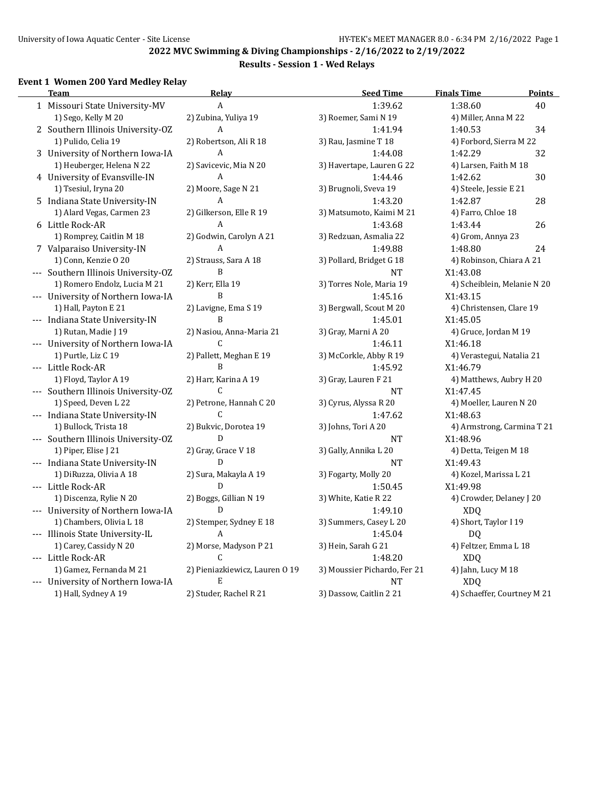## **2022 MVC Swimming & Diving Championships - 2/16/2022 to 2/19/2022**

## **Results - Session 1 - Wed Relays**

## **Event 1 Women 200 Yard Medley Relay**

| <b>Team</b>                         | <b>Relay</b>                   | <b>Seed Time</b>             | <b>Finals Time</b>          | Points |
|-------------------------------------|--------------------------------|------------------------------|-----------------------------|--------|
| 1 Missouri State University-MV      | A                              | 1:39.62                      | 1:38.60                     | 40     |
| 1) Sego, Kelly M 20                 | 2) Zubina, Yuliya 19           | 3) Roemer, Sami N 19         | 4) Miller, Anna M 22        |        |
| 2 Southern Illinois University-OZ   | $\overline{A}$                 | 1:41.94                      | 1:40.53                     | 34     |
| 1) Pulido, Celia 19                 | 2) Robertson, Ali R 18         | 3) Rau, Jasmine T 18         | 4) Forbord, Sierra M 22     |        |
| 3 University of Northern Iowa-IA    | A                              | 1:44.08                      | 1:42.29                     | 32     |
| 1) Heuberger, Helena N 22           | 2) Savicevic, Mia N 20         | 3) Havertape, Lauren G 22    | 4) Larsen, Faith M 18       |        |
| 4 University of Evansville-IN       | A                              | 1:44.46                      | 1:42.62                     | 30     |
| 1) Tsesiul, Iryna 20                | 2) Moore, Sage N 21            | 3) Brugnoli, Sveva 19        | 4) Steele, Jessie E 21      |        |
| 5 Indiana State University-IN       | A                              | 1:43.20                      | 1:42.87                     | 28     |
| 1) Alard Vegas, Carmen 23           | 2) Gilkerson, Elle R 19        | 3) Matsumoto, Kaimi M 21     | 4) Farro, Chloe 18          |        |
| 6 Little Rock-AR                    | A                              | 1:43.68                      | 1:43.44                     | 26     |
| 1) Romprey, Caitlin M 18            | 2) Godwin, Carolyn A 21        | 3) Redzuan, Asmalia 22       | 4) Grom, Annya 23           |        |
| 7 Valparaiso University-IN          | $\overline{A}$                 | 1:49.88                      | 1:48.80                     | 24     |
| 1) Conn, Kenzie O 20                | 2) Strauss, Sara A 18          | 3) Pollard, Bridget G 18     | 4) Robinson, Chiara A 21    |        |
| --- Southern Illinois University-OZ | B                              | <b>NT</b>                    | X1:43.08                    |        |
| 1) Romero Endolz, Lucia M 21        | 2) Kerr, Ella 19               | 3) Torres Nole, Maria 19     | 4) Scheiblein, Melanie N 20 |        |
| --- University of Northern Iowa-IA  | B                              | 1:45.16                      | X1:43.15                    |        |
| 1) Hall, Payton E 21                | 2) Lavigne, Ema S 19           | 3) Bergwall, Scout M 20      | 4) Christensen, Clare 19    |        |
| --- Indiana State University-IN     | B                              | 1:45.01                      | X1:45.05                    |        |
| 1) Rutan, Madie J 19                | 2) Nasiou, Anna-Maria 21       | 3) Gray, Marni A 20          | 4) Gruce, Jordan M 19       |        |
| --- University of Northern Iowa-IA  | C                              | 1:46.11                      | X1:46.18                    |        |
| 1) Purtle, Liz C 19                 | 2) Pallett, Meghan E 19        | 3) McCorkle, Abby R 19       | 4) Verastegui, Natalia 21   |        |
| --- Little Rock-AR                  | B                              | 1:45.92                      | X1:46.79                    |        |
| 1) Floyd, Taylor A 19               | 2) Harr, Karina A 19           | 3) Gray, Lauren F 21         | 4) Matthews, Aubry H 20     |        |
| --- Southern Illinois University-OZ | C                              | <b>NT</b>                    | X1:47.45                    |        |
| 1) Speed, Deven L 22                | 2) Petrone, Hannah C 20        | 3) Cyrus, Alyssa R 20        | 4) Moeller, Lauren N 20     |        |
| --- Indiana State University-IN     | $\mathsf{C}$                   | 1:47.62                      | X1:48.63                    |        |
| 1) Bullock, Trista 18               | 2) Bukvic, Dorotea 19          | 3) Johns, Tori A 20          | 4) Armstrong, Carmina T 21  |        |
| --- Southern Illinois University-OZ | D                              | <b>NT</b>                    | X1:48.96                    |        |
| 1) Piper, Elise J 21                | 2) Gray, Grace V 18            | 3) Gally, Annika L 20        | 4) Detta, Teigen M 18       |        |
| --- Indiana State University-IN     | D                              | <b>NT</b>                    | X1:49.43                    |        |
| 1) DiRuzza, Olivia A 18             | 2) Sura, Makayla A 19          | 3) Fogarty, Molly 20         | 4) Kozel, Marissa L 21      |        |
| --- Little Rock-AR                  | D                              | 1:50.45                      | X1:49.98                    |        |
| 1) Discenza, Rylie N 20             | 2) Boggs, Gillian N 19         | 3) White, Katie R 22         | 4) Crowder, Delaney J 20    |        |
| --- University of Northern Iowa-IA  | D                              | 1:49.10                      | <b>XDQ</b>                  |        |
| 1) Chambers, Olivia L 18            | 2) Stemper, Sydney E 18        | 3) Summers, Casey L 20       | 4) Short, Taylor I 19       |        |
| --- Illinois State University-IL    | A                              | 1:45.04                      | DQ                          |        |
| 1) Carey, Cassidy N 20              | 2) Morse, Madyson P 21         | 3) Hein, Sarah G 21          | 4) Feltzer, Emma L 18       |        |
| --- Little Rock-AR                  | C                              | 1:48.20                      | <b>XDQ</b>                  |        |
| 1) Gamez, Fernanda M 21             | 2) Pieniazkiewicz, Lauren 0 19 | 3) Moussier Pichardo, Fer 21 | 4) Jahn, Lucy M 18          |        |
| --- University of Northern Iowa-IA  | E                              | <b>NT</b>                    | <b>XDQ</b>                  |        |
| 1) Hall, Sydney A 19                | 2) Studer, Rachel R 21         | 3) Dassow, Caitlin 2 21      | 4) Schaeffer, Courtney M 21 |        |